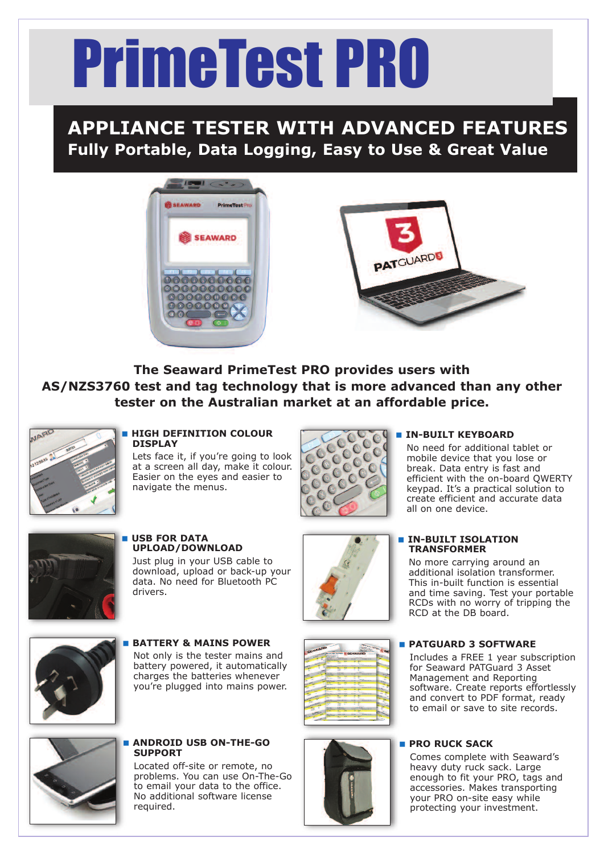# PrimeTest PRO

## **APPLIANCE TESTER WITH ADVANCED FEATURES Fully Portable, Data Logging, Easy to Use & Great Value**





**The Seaward PrimeTest PRO provides users with AS/NZS3760 test and tag technology that is more advanced than any other tester on the Australian market at an affordable price.**



#### < **HIGH DEFINITION COLOUR DISPLAY**

Lets face it, if you're going to look at a screen all day, make it colour. Easier on the eyes and easier to navigate the menus.



#### < **IN-BUILT KEYBOARD**

No need for additional tablet or mobile device that you lose or break. Data entry is fast and efficient with the on-board QWERTY keypad. It's a practical solution to create efficient and accurate data all on one device.



< **USB FOR DATA UPLOAD/DOWNLOAD** Just plug in your USB cable to download, upload or back-up your data. No need for Bluetooth PC drivers.



< **BATTERY & MAINS POWER** Not only is the tester mains and battery powered, it automatically charges the batteries whenever you're plugged into mains power.



#### < **ANDROID USB ON-THE-GO SUPPORT**

Located off-site or remote, no problems. You can use On-The-Go to email your data to the office. No additional software license required.



### **EXTENDILT ISOLATION TRANSFORMER**

No more carrying around an additional isolation transformer. This in-built function is essential and time saving. Test your portable RCDs with no worry of tripping the RCD at the DB board.

#### < **PATGUARD 3 SOFTWARE**

Includes a FREE 1 year subscription for Seaward PATGuard 3 Asset Management and Reporting software. Create reports effortlessly and convert to PDF format, ready to email or save to site records.

#### < **PRO RUCK SACK**

Comes complete with Seaward's heavy duty ruck sack. Large enough to fit your PRO, tags and accessories. Makes transporting your PRO on-site easy while protecting your investment.